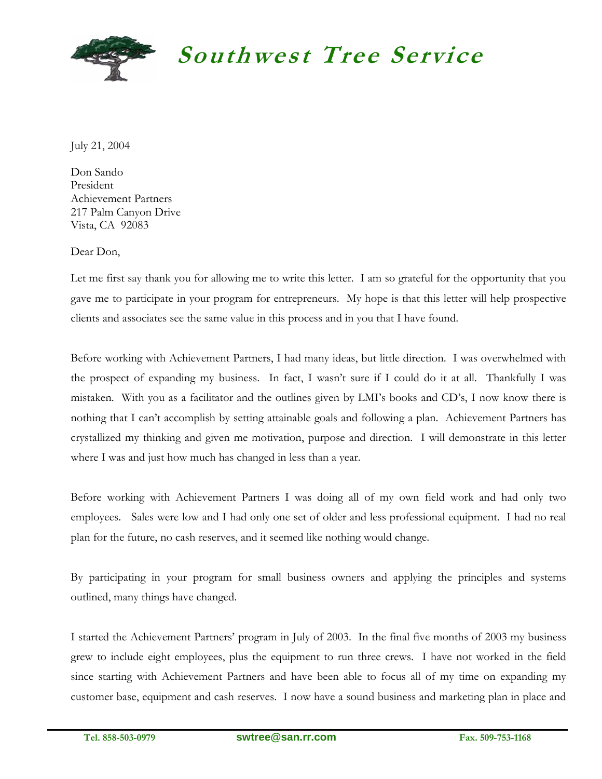

**Southwest Tree Service** 

July 21, 2004

Don Sando President Achievement Partners 217 Palm Canyon Drive Vista, CA 92083

Dear Don,

Let me first say thank you for allowing me to write this letter. I am so grateful for the opportunity that you gave me to participate in your program for entrepreneurs. My hope is that this letter will help prospective clients and associates see the same value in this process and in you that I have found.

Before working with Achievement Partners, I had many ideas, but little direction. I was overwhelmed with the prospect of expanding my business. In fact, I wasn't sure if I could do it at all. Thankfully I was mistaken. With you as a facilitator and the outlines given by LMI's books and CD's, I now know there is nothing that I can't accomplish by setting attainable goals and following a plan. Achievement Partners has crystallized my thinking and given me motivation, purpose and direction. I will demonstrate in this letter where I was and just how much has changed in less than a year.

Before working with Achievement Partners I was doing all of my own field work and had only two employees. Sales were low and I had only one set of older and less professional equipment. I had no real plan for the future, no cash reserves, and it seemed like nothing would change.

By participating in your program for small business owners and applying the principles and systems outlined, many things have changed.

I started the Achievement Partners' program in July of 2003. In the final five months of 2003 my business grew to include eight employees, plus the equipment to run three crews. I have not worked in the field since starting with Achievement Partners and have been able to focus all of my time on expanding my customer base, equipment and cash reserves. I now have a sound business and marketing plan in place and